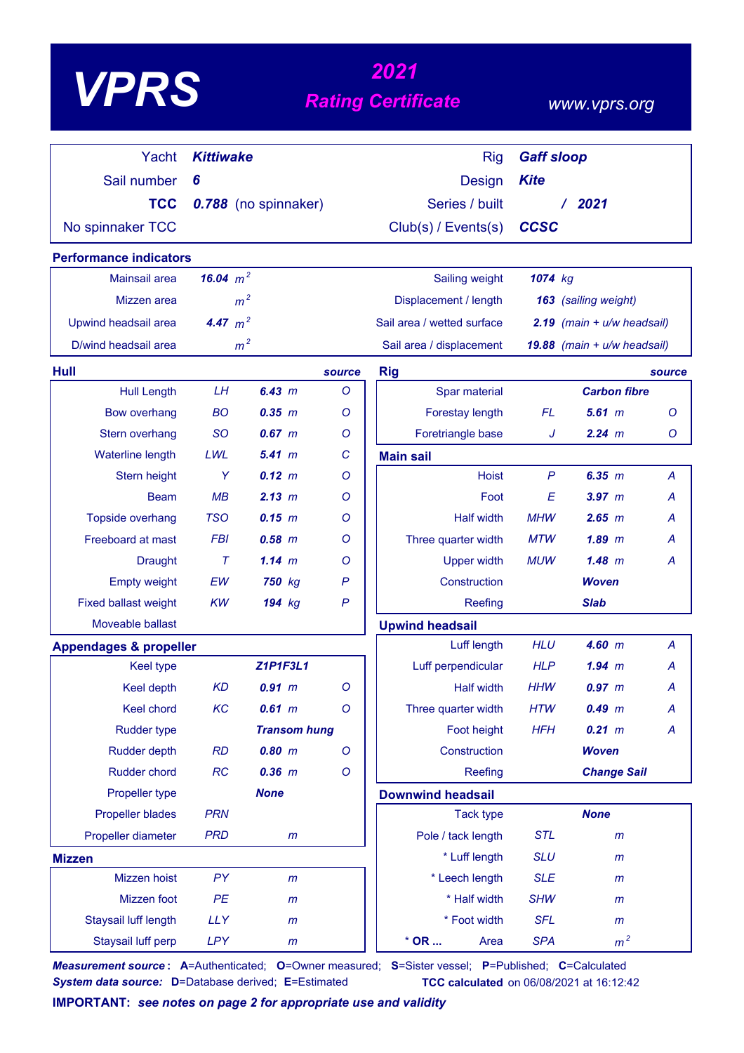# *<sup>2021</sup> VPRS Rating Certificate*

#### *www.vprs.org*

| Yacht                             | <b>Kittiwake</b> |                      |               | <b>Rig</b>                 | <b>Gaff sloop</b> |                                |
|-----------------------------------|------------------|----------------------|---------------|----------------------------|-------------------|--------------------------------|
| Sail number                       | 6                |                      |               | Design                     | <b>Kite</b>       |                                |
| <b>TCC</b>                        |                  | 0.788 (no spinnaker) |               | Series / built             |                   | 2021<br>Z.                     |
| No spinnaker TCC                  |                  |                      |               | Club(s) / Events(s)        | <b>CCSC</b>       |                                |
| <b>Performance indicators</b>     |                  |                      |               |                            |                   |                                |
| Mainsail area                     | 16.04 $m^2$      |                      |               | Sailing weight             | 1074 kg           |                                |
| Mizzen area                       | m <sup>2</sup>   |                      |               | Displacement / length      |                   | 163 (sailing weight)           |
| Upwind headsail area              | 4.47 $m2$        |                      |               | Sail area / wetted surface |                   | $2.19$ (main + $u/w$ headsail) |
| D/wind headsail area              | m <sup>2</sup>   |                      |               | Sail area / displacement   |                   | 19.88 (main + u/w headsail)    |
| Hull                              |                  |                      | source        | <b>Rig</b>                 |                   | source                         |
| <b>Hull Length</b>                | LH               | 6.43 m               | $\circ$       | Spar material              |                   | <b>Carbon fibre</b>            |
| <b>Bow overhang</b>               | <b>BO</b>        | 0.35 m               | O             | <b>Forestay length</b>     | <b>FL</b>         | 5.61~m<br>$\circ$              |
| Stern overhang                    | <b>SO</b>        | $0.67$ m             | O             | Foretriangle base          | J                 | 2.24 m<br>O                    |
| <b>Waterline length</b>           | LWL              | 5.41~m               | $\mathcal{C}$ | <b>Main sail</b>           |                   |                                |
| Stern height                      | Υ                | $0.12 \, m$          | O             | <b>Hoist</b>               | $\boldsymbol{P}$  | 6.35 m<br>A                    |
| <b>Beam</b>                       | MB               | 2.13 m               | O             | Foot                       | E                 | $3.97$ $m$<br>A                |
| Topside overhang                  | <b>TSO</b>       | 0.15 m               | O             | <b>Half width</b>          | <b>MHW</b>        | $2.65$ $m$<br>A                |
| Freeboard at mast                 | <b>FBI</b>       | $0.58$ $m$           | O             | Three quarter width        | <b>MTW</b>        | $1.89$ $m$<br>A                |
| <b>Draught</b>                    | $\tau$           | 1.14~m               | O             | <b>Upper width</b>         | <b>MUW</b>        | 1.48~m<br>Α                    |
| <b>Empty weight</b>               | EW               | 750 kg               | $\mathsf{P}$  | Construction               |                   | <b>Woven</b>                   |
| <b>Fixed ballast weight</b>       | KW               | 194 kg               | $\mathsf{P}$  | Reefing                    |                   | <b>Slab</b>                    |
| Moveable ballast                  |                  |                      |               | <b>Upwind headsail</b>     |                   |                                |
| <b>Appendages &amp; propeller</b> |                  |                      |               | Luff length                | <b>HLU</b>        | 4.60~m<br>Α                    |
| <b>Keel type</b>                  |                  | Z1P1F3L1             |               | Luff perpendicular         | <b>HLP</b>        | $1.94$ m<br>A                  |
| Keel depth                        | <b>KD</b>        | 0.91 m               | $\circ$       | <b>Half width</b>          | <i>HHW</i>        | $0.97$ $m$<br>A                |
| Keel chord                        | KC               | 0.61 m               | $\circ$       | Three quarter width        | <b>HTW</b>        | $0.49$ m<br>A                  |
| <b>Rudder type</b>                |                  | <b>Transom hung</b>  |               | Foot height                | <b>HFH</b>        | $0.21$ $m$<br>A                |
| <b>Rudder depth</b>               | RD               | 0.80 m               | O             | Construction               |                   | <b>Woven</b>                   |
| Rudder chord                      | RC               | $0.36$ $m$           | $\circ$       | Reefing                    |                   | <b>Change Sail</b>             |
| Propeller type                    |                  | <b>None</b>          |               | <b>Downwind headsail</b>   |                   |                                |
| <b>Propeller blades</b>           | <b>PRN</b>       |                      |               | <b>Tack type</b>           |                   | <b>None</b>                    |
| Propeller diameter                | <b>PRD</b>       | $\mathsf{m}$         |               | Pole / tack length         | <b>STL</b>        | $\mathsf{m}$                   |
| <b>Mizzen</b>                     |                  |                      |               | * Luff length              | <b>SLU</b>        | $\mathsf{m}$                   |
| Mizzen hoist                      | <b>PY</b>        | $\mathsf{m}$         |               | * Leech length             | <b>SLE</b>        | $\mathsf{m}$                   |
| Mizzen foot                       | PE               | $\mathsf{m}$         |               | * Half width               | <b>SHW</b>        | $\mathsf{m}$                   |
| Staysail luff length              | <b>LLY</b>       | $\mathsf{m}$         |               | * Foot width               | <b>SFL</b>        | m                              |
| Staysail luff perp                | <b>LPY</b>       | $\mathsf{m}$         |               | $*$ OR<br>Area             | <b>SPA</b>        | m <sup>2</sup>                 |

*Measurement source* **: A**=Authenticated; **O**=Owner measured; **S**=Sister vessel; **P**=Published; **C**=Calculated *System data source:* **D**=Database derived; **E**=Estimated **TCC calculated** on 06/08/2021 at 16:12:42

**IMPORTANT:** *see notes on page 2 for appropriate use and validity*